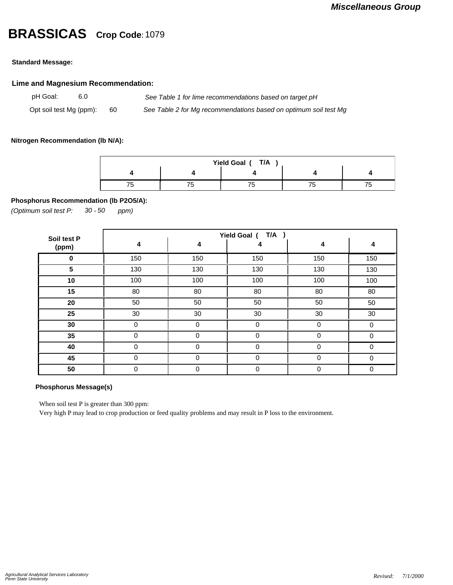# **BRASSICAS Crop Code:**<sup>1079</sup>

### **Standard Message:**

### **Lime and Magnesium Recommendation:**

pH Goal: 6.0 *See Table 1 for lime recommendations based on target pH* Opt soil test Mg (ppm): 60 *See Table 2 for Mg recommendations based on optimum soil test Mg*

### **Nitrogen Recommendation (lb N/A):**

| Yield Goal (T/A |  |  |  |  |  |  |  |  |
|-----------------|--|--|--|--|--|--|--|--|
|                 |  |  |  |  |  |  |  |  |
|                 |  |  |  |  |  |  |  |  |

### **Phosphorus Recommendation (lb P2O5/A):**

*(Optimum soil test P: 30 ppm) - 50*

| Soil test P | T/A<br>Yield Goal ( |             |             |             |          |  |  |
|-------------|---------------------|-------------|-------------|-------------|----------|--|--|
| (ppm)       | 4                   | 4           | 4           | 4           | 4        |  |  |
| 0           | 150                 | 150         | 150         | 150         | 150      |  |  |
| 5           | 130                 | 130         | 130         | 130         | 130      |  |  |
| 10          | 100                 | 100         | 100         | 100         | 100      |  |  |
| 15          | 80                  | 80          | 80          | 80          | 80       |  |  |
| 20          | 50                  | 50          | 50          | 50          | 50       |  |  |
| 25          | 30                  | 30          | 30          | 30          | 30       |  |  |
| 30          | $\Omega$            | 0           | 0           | 0           | 0        |  |  |
| 35          | $\Omega$            | $\Omega$    | $\Omega$    | $\Omega$    | $\Omega$ |  |  |
| 40          | $\mathbf 0$         | $\mathbf 0$ | $\mathbf 0$ | $\mathbf 0$ | $\Omega$ |  |  |
| 45          | $\mathbf 0$         | $\mathbf 0$ | $\mathbf 0$ | 0           | $\Omega$ |  |  |
| 50          | $\mathbf 0$         | 0           | 0           | $\mathbf 0$ | 0        |  |  |

## **Phosphorus Message(s)**

When soil test P is greater than 300 ppm:

Very high P may lead to crop production or feed quality problems and may result in P loss to the environment.